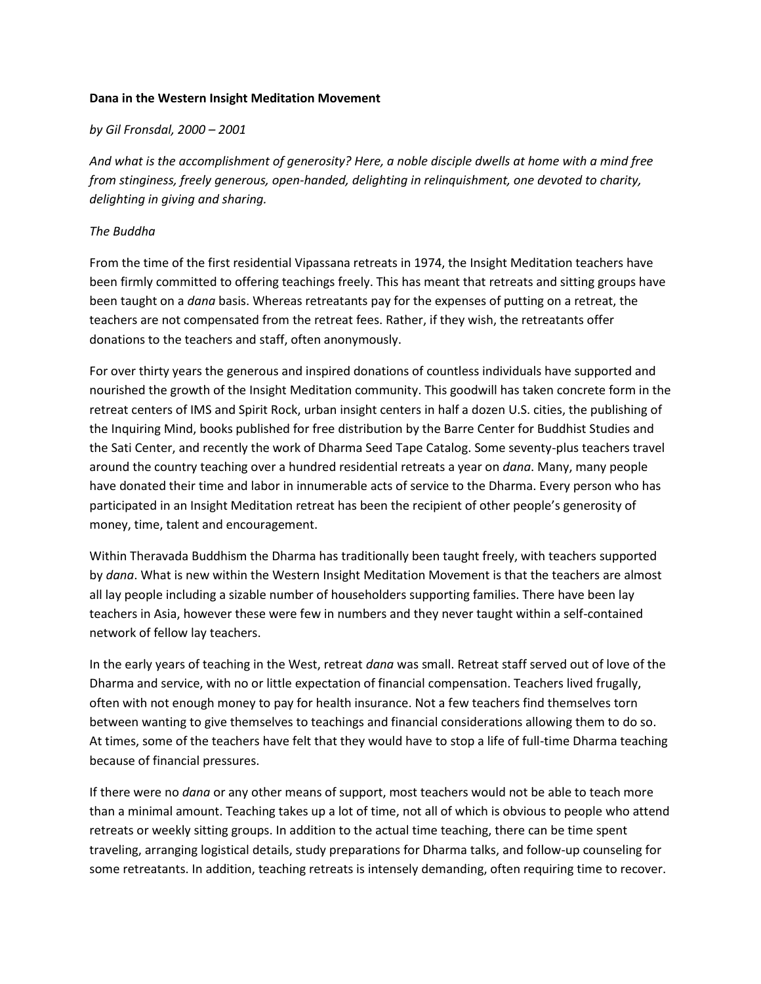## **Dana in the Western Insight Meditation Movement**

## *by Gil Fronsdal, 2000 – 2001*

*And what is the accomplishment of generosity? Here, a noble disciple dwells at home with a mind free from stinginess, freely generous, open-handed, delighting in relinquishment, one devoted to charity, delighting in giving and sharing.*

## *The Buddha*

From the time of the first residential Vipassana retreats in 1974, the Insight Meditation teachers have been firmly committed to offering teachings freely. This has meant that retreats and sitting groups have been taught on a *dana* basis. Whereas retreatants pay for the expenses of putting on a retreat, the teachers are not compensated from the retreat fees. Rather, if they wish, the retreatants offer donations to the teachers and staff, often anonymously.

For over thirty years the generous and inspired donations of countless individuals have supported and nourished the growth of the Insight Meditation community. This goodwill has taken concrete form in the retreat centers of IMS and Spirit Rock, urban insight centers in half a dozen U.S. cities, the publishing of the Inquiring Mind, books published for free distribution by the Barre Center for Buddhist Studies and the Sati Center, and recently the work of Dharma Seed Tape Catalog. Some seventy-plus teachers travel around the country teaching over a hundred residential retreats a year on *dana*. Many, many people have donated their time and labor in innumerable acts of service to the Dharma. Every person who has participated in an Insight Meditation retreat has been the recipient of other people's generosity of money, time, talent and encouragement.

Within Theravada Buddhism the Dharma has traditionally been taught freely, with teachers supported by *dana*. What is new within the Western Insight Meditation Movement is that the teachers are almost all lay people including a sizable number of householders supporting families. There have been lay teachers in Asia, however these were few in numbers and they never taught within a self-contained network of fellow lay teachers.

In the early years of teaching in the West, retreat *dana* was small. Retreat staff served out of love of the Dharma and service, with no or little expectation of financial compensation. Teachers lived frugally, often with not enough money to pay for health insurance. Not a few teachers find themselves torn between wanting to give themselves to teachings and financial considerations allowing them to do so. At times, some of the teachers have felt that they would have to stop a life of full-time Dharma teaching because of financial pressures.

If there were no *dana* or any other means of support, most teachers would not be able to teach more than a minimal amount. Teaching takes up a lot of time, not all of which is obvious to people who attend retreats or weekly sitting groups. In addition to the actual time teaching, there can be time spent traveling, arranging logistical details, study preparations for Dharma talks, and follow-up counseling for some retreatants. In addition, teaching retreats is intensely demanding, often requiring time to recover.